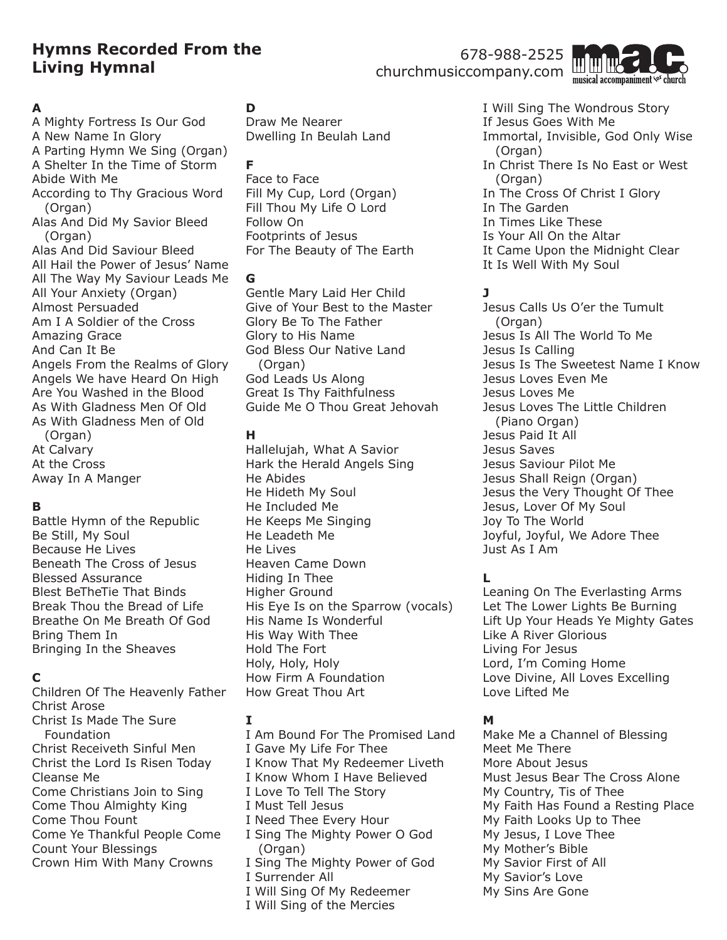# **Hymns Recorded From the Living Hymnal**

# 678-988-2525 churchmusiccompany.com



#### **A**

A Mighty Fortress Is Our God A New Name In Glory A Parting Hymn We Sing (Organ) A Shelter In the Time of Storm Abide With Me According to Thy Gracious Word (Organ) Alas And Did My Savior Bleed (Organ) Alas And Did Saviour Bleed All Hail the Power of Jesus' Name All The Way My Saviour Leads Me All Your Anxiety (Organ) Almost Persuaded Am I A Soldier of the Cross Amazing Grace And Can It Be Angels From the Realms of Glory Angels We have Heard On High Are You Washed in the Blood As With Gladness Men Of Old As With Gladness Men of Old (Organ) At Calvary At the Cross Away In A Manger

### **B**

Battle Hymn of the Republic Be Still, My Soul Because He Lives Beneath The Cross of Jesus Blessed Assurance Blest BeTheTie That Binds Break Thou the Bread of Life Breathe On Me Breath Of God Bring Them In Bringing In the Sheaves

### **C**

Children Of The Heavenly Father Christ Arose Christ Is Made The Sure Foundation Christ Receiveth Sinful Men Christ the Lord Is Risen Today Cleanse Me Come Christians Join to Sing Come Thou Almighty King Come Thou Fount Come Ye Thankful People Come Count Your Blessings Crown Him With Many Crowns

# **D**

Draw Me Nearer Dwelling In Beulah Land

#### **F**

Face to Face Fill My Cup, Lord (Organ) Fill Thou My Life O Lord Follow On Footprints of Jesus For The Beauty of The Earth

#### **G**

Gentle Mary Laid Her Child Give of Your Best to the Master Glory Be To The Father Glory to His Name God Bless Our Native Land (Organ) God Leads Us Along Great Is Thy Faithfulness Guide Me O Thou Great Jehovah

#### **H**

Hallelujah, What A Savior Hark the Herald Angels Sing He Abides He Hideth My Soul He Included Me He Keeps Me Singing He Leadeth Me He Lives Heaven Came Down Hiding In Thee Higher Ground His Eye Is on the Sparrow (vocals) His Name Is Wonderful His Way With Thee Hold The Fort Holy, Holy, Holy How Firm A Foundation How Great Thou Art

### **I**

I Am Bound For The Promised Land I Gave My Life For Thee I Know That My Redeemer Liveth I Know Whom I Have Believed I Love To Tell The Story I Must Tell Jesus I Need Thee Every Hour I Sing The Mighty Power O God (Organ) I Sing The Mighty Power of God I Surrender All I Will Sing Of My Redeemer

I Will Sing of the Mercies

I Will Sing The Wondrous Story If Jesus Goes With Me Immortal, Invisible, God Only Wise (Organ) In Christ There Is No East or West (Organ) In The Cross Of Christ I Glory In The Garden In Times Like These Is Your All On the Altar It Came Upon the Midnight Clear It Is Well With My Soul

# **J**

Jesus Calls Us O'er the Tumult (Organ) Jesus Is All The World To Me Jesus Is Calling Jesus Is The Sweetest Name I Know Jesus Loves Even Me Jesus Loves Me Jesus Loves The Little Children (Piano Organ) Jesus Paid It All Jesus Saves Jesus Saviour Pilot Me Jesus Shall Reign (Organ) Jesus the Very Thought Of Thee Jesus, Lover Of My Soul Joy To The World Joyful, Joyful, We Adore Thee Just As I Am

# **L**

Leaning On The Everlasting Arms Let The Lower Lights Be Burning Lift Up Your Heads Ye Mighty Gates Like A River Glorious Living For Jesus Lord, I'm Coming Home Love Divine, All Loves Excelling Love Lifted Me

### **M**

Make Me a Channel of Blessing Meet Me There More About Jesus Must Jesus Bear The Cross Alone My Country, Tis of Thee My Faith Has Found a Resting Place My Faith Looks Up to Thee My Jesus, I Love Thee My Mother's Bible My Savior First of All My Savior's Love My Sins Are Gone